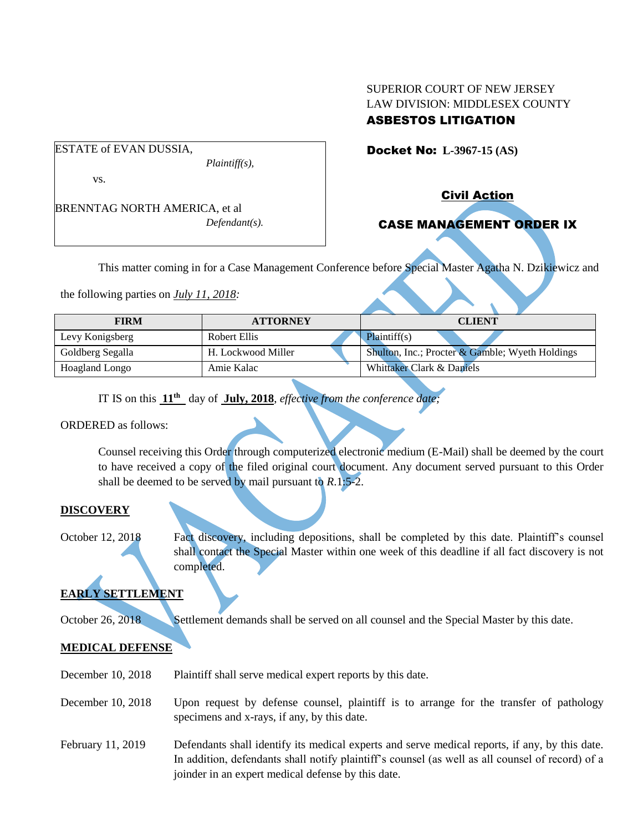# SUPERIOR COURT OF NEW JERSEY LAW DIVISION: MIDDLESEX COUNTY

## ASBESTOS LITIGATION

Docket No: **L-3967-15 (AS)** 

vs.

ESTATE of EVAN DUSSIA,

BRENNTAG NORTH AMERICA, et al *Defendant(s).*

*Plaintiff(s),*

Civil Action

# CASE MANAGEMENT ORDER IX

This matter coming in for a Case Management Conference before Special Master Agatha N. Dzikiewicz and

the following parties on *July 11, 2018:*

| <b>FIRM</b>      | <b>ATTORNEY</b>    | <b>CLIENT</b>                                   |
|------------------|--------------------|-------------------------------------------------|
| Levy Konigsberg  | Robert Ellis       | Plaintiff(s)                                    |
| Goldberg Segalla | H. Lockwood Miller | Shulton, Inc.; Procter & Gamble; Wyeth Holdings |
| Hoagland Longo   | Amie Kalac         | Whittaker Clark & Daniels                       |

IT IS on this **11 th** day of **July, 2018**, *effective from the conference date;*

ORDERED as follows:

Counsel receiving this Order through computerized electronic medium (E-Mail) shall be deemed by the court to have received a copy of the filed original court document. Any document served pursuant to this Order shall be deemed to be served by mail pursuant to *R*.1:5-2.

### **DISCOVERY**

October 12, 2018 Fact discovery, including depositions, shall be completed by this date. Plaintiff's counsel shall contact the Special Master within one week of this deadline if all fact discovery is not completed.

# **EARLY SETTLEMENT**

October 26, 2018 Settlement demands shall be served on all counsel and the Special Master by this date.

## **MEDICAL DEFENSE**

- December 10, 2018 Plaintiff shall serve medical expert reports by this date.
- December 10, 2018 Upon request by defense counsel, plaintiff is to arrange for the transfer of pathology specimens and x-rays, if any, by this date.
- February 11, 2019 Defendants shall identify its medical experts and serve medical reports, if any, by this date. In addition, defendants shall notify plaintiff's counsel (as well as all counsel of record) of a joinder in an expert medical defense by this date.